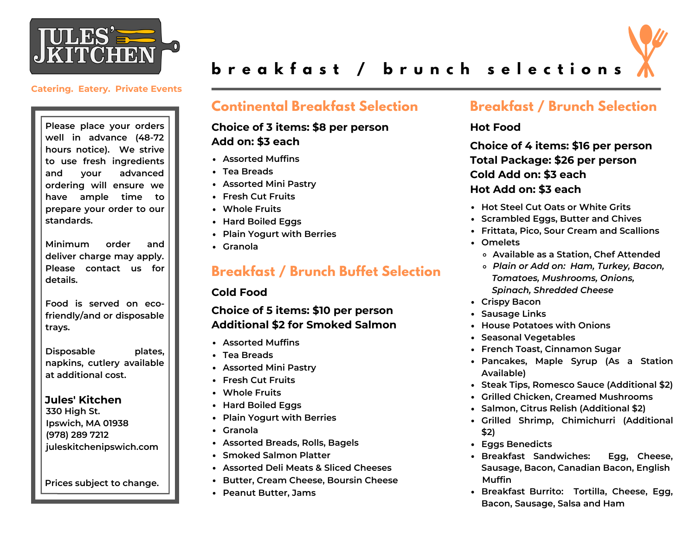



# breakfast / brunch selections

#### **Catering. Eatery. Private Events**

**Please place your orders well in advance (48-72 hours notice). We strive to use fresh ingredients and your advanced ordering will ensure we have ample time to prepare your order to our standards.**

**Minimum order and deliver charge may apply. Please contact us for details.**

**Food is served on ecofriendly/and or disposable trays.**

**Disposable plates, napkins, cutlery available at additional cost.**

**Jules' Kitchen 330 High St. Ipswich, MA 01938 (978) 289 7212 juleskitchenipswich.com**

**Prices subject to change.**

# **Continental Breakfast Selection**

### **Choice of 3 items: \$8 per person Add on: \$3 each**

- **Assorted Muffins**
- **Tea Breads**
- **Assorted Mini Pastry**
- **Fresh Cut Fruits**
- **Whole Fruits**
- **Hard Boiled Eggs**
- **Plain Yogurt with Berries**
- **Granola**

# **Breakfast / Brunch Buffet Selection**

#### **Cold Food**

## **Choice of 5 items: \$10 per person Additional \$2 for Smoked Salmon**

- **Assorted Muffins**
- **Tea Breads**
- **Assorted Mini Pastry**
- **Fresh Cut Fruits**
- **Whole Fruits**
- **Hard Boiled Eggs**
- **Plain Yogurt with Berries**
- **Granola**
- **Assorted Breads, Rolls, Bagels**
- **Smoked Salmon Platter**
- **Assorted Deli Meats & Sliced Cheeses**
- **Butter, Cream Cheese, Boursin Cheese**
- **Peanut Butter, Jams**

# **Breakfast / Brunch Selection**

### **Hot Food**

**Choice of 4 items: \$16 per person Total Package: \$26 per person Cold Add on: \$3 each Hot Add on: \$3 each**

- **Hot Steel Cut Oats or White Grits**
- **Scrambled Eggs, Butter and Chives**
- **Frittata, Pico, Sour Cream and Scallions**
- **Omelets**
	- **Available as a Station, Chef Attended**
	- *Plain or Add on: Ham, Turkey, Bacon, Tomatoes, Mushrooms, Onions, Spinach, Shredded Cheese*
- **Crispy Bacon**
- **Sausage Links**
- **House Potatoes with Onions**
- **Seasonal Vegetables**
- **French Toast, Cinnamon Sugar**
- **Pancakes, Maple Syrup (As a Station Available)**
- **Steak Tips, Romesco Sauce (Additional \$2)**
- **Grilled Chicken, Creamed Mushrooms**
- **Salmon, Citrus Relish (Additional \$2)**
- **Grilled Shrimp, Chimichurri (Additional \$2)**
- **Eggs Benedicts**
- **Breakfast Sandwiches: Egg, Cheese, Sausage, Bacon, Canadian Bacon, English Muffin**
- **Breakfast Burrito: Tortilla, Cheese, Egg, Bacon, Sausage, Salsa and Ham**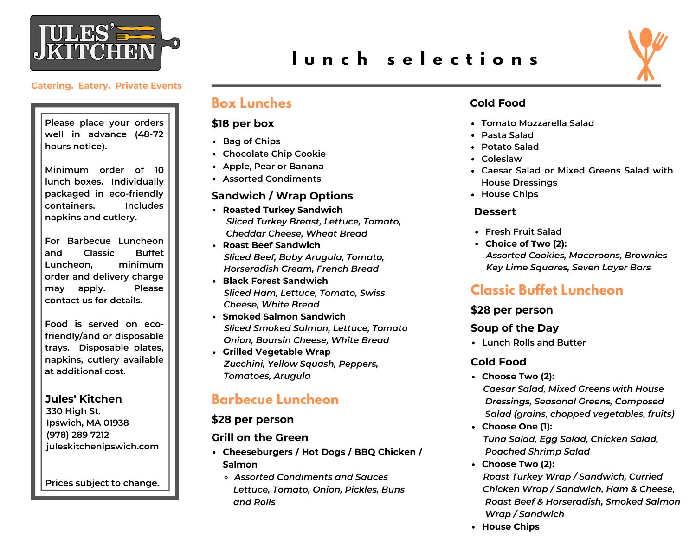

**Please place your orders well in advance (48-72 hours notice).**

**Minimum order of 10 lunch boxes. Individually packaged in eco-friendly containers. Includes napkins and cutlery.**

**For Barbecue Luncheon and Classic Buffet Luncheon, minimum order and delivery charge may apply. Please contact us for details.**

**Food is served on ecofriendly/and or disposable trays. Disposable plates, napkins, cutlery available at additional cost.**

**Jules' Kitchen 330 High St.**

**Ipswich, MA 01938 (978) 289 7212 juleskitchenipswich.com**

**Prices subject to change.**

# **l u n c h s e l e c t i o n s**



## **Box Lunches**

#### **\$18 per box**

- **Bag of Chips**
- **Chocolate Chip Cookie**
- **Apple, Pear or Banana**
- **Assorted Condiments**

#### **Sandwich / Wrap Options**

- **Roasted Turkey Sandwich** *Sliced Turkey Breast, Lettuce, Tomato, Cheddar Cheese, Wheat Bread*
- **Roast Beef Sandwich** *Sliced Beef, Baby Arugula, Tomato, Horseradish Cream, French Bread*
- **Black Forest Sandwich** *Sliced Ham, Lettuce, Tomato, Swiss Cheese, White Bread*
- **Smoked Salmon Sandwich** *Sliced Smoked Salmon, Lettuce, Tomato Onion, Boursin Cheese, White Bread*
- **Grilled Vegetable Wrap** *Zucchini, Yellow Squash, Peppers, Tomatoes, Arugula*

# **Barbecue Luncheon**

#### **\$28 per person**

#### **Grill on the Green**

- **Cheeseburgers / Hot Dogs / BBQ Chicken / Salmon**
	- *Assorted Condiments and Sauces Lettuce, Tomato, Onion, Pickles, Buns and Rolls*

### **Cold Food**

- **Tomato Mozzarella Salad**
- **Pasta Salad**
- **Potato Salad**
- **Coleslaw**
- **Caesar Salad or Mixed Greens Salad with House Dressings**
- **House Chips**

#### **Dessert**

- **Fresh Fruit Salad**
- **Choice of Two (2):** *Assorted Cookies, Macaroons, Brownies Key Lime Squares, Seven Layer Bars*

# **Classic Buffet Luncheon**

#### **\$28 per person**

#### **Soup of the Day**

**Lunch Rolls and Butter**

## **Cold Food**

- **Choose Two (2):** *Caesar Salad, Mixed Greens with House Dressings, Seasonal Greens, Composed Salad (grains, chopped vegetables, fruits)*
- **Choose One (1):** *Tuna Salad, Egg Salad, Chicken Salad, Poached Shrimp Salad*
- **Choose Two (2):** *Roast Turkey Wrap / Sandwich, Curried Chicken Wrap / Sandwich, Ham & Cheese, Roast Beef & Horseradish, Smoked Salmon Wrap / Sandwich*
- **House Chips**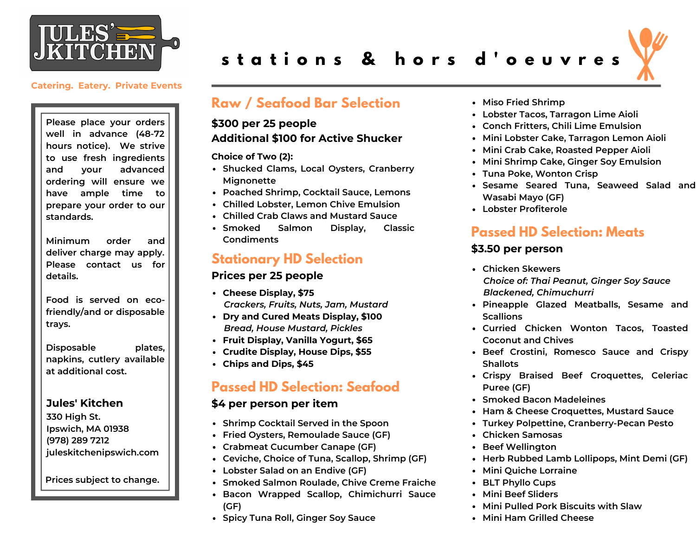

**Please place your orders well in advance (48-72 hours notice). We strive to use fresh ingredients and your advanced ordering will ensure we have ample time to prepare your order to our standards.**

**Minimum order and deliver charge may apply. Please contact us for details.**

**Food is served on ecofriendly/and or disposable trays.**

**Disposable plates, napkins, cutlery available at additional cost.**

#### **Jules' Kitchen**

**330 High St. Ipswich, MA 01938 (978) 289 7212 juleskitchenipswich.com**

**Prices subject to change.**

# **s t a t i o n s & h o r s d ' o e u v r e s**

## **Raw / Seafood Bar Selection**

### **\$300 per 25 people Additional \$100 for Active Shucker**

**Choice of Two (2):**

- **Shucked Clams, Local Oysters, Cranberry Mignonette**
- **Poached Shrimp, Cocktail Sauce, Lemons**
- **Chilled Lobster, Lemon Chive Emulsion**
- **Chilled Crab Claws and Mustard Sauce**
- **Smoked Salmon Display, Classic Condiments**

## **Stationary HD Selection**

#### **Prices per 25 people**

- **Cheese Display, \$75** *Crackers, Fruits, Nuts, Jam, Mustard*
- **Dry and Cured Meats Display, \$100** *Bread, House Mustard, Pickles*
- **Fruit Display, Vanilla Yogurt, \$65**
- **Crudite Display, House Dips, \$55**
- **Chips and Dips, \$45**

# **Passed HD Selection: Seafood**

#### **\$4 per person per item**

- **Shrimp Cocktail Served in the Spoon**
- **Fried Oysters, Remoulade Sauce (GF)**
- **Crabmeat Cucumber Canape (GF)**
- **Ceviche, Choice of Tuna, Scallop, Shrimp (GF)**
- **Lobster Salad on an Endive (GF)**
- **Smoked Salmon Roulade, Chive Creme Fraiche**
- **Bacon Wrapped Scallop, Chimichurri Sauce (GF)**
- **Spicy Tuna Roll, Ginger Soy Sauce**
- **Miso Fried Shrimp**
- **Lobster Tacos, Tarragon Lime Aioli**
- **Conch Fritters, Chili Lime Emulsion**
- **Mini Lobster Cake, Tarragon Lemon Aioli**
- **Mini Crab Cake, Roasted Pepper Aioli**
- **Mini Shrimp Cake, Ginger Soy Emulsion**
- **Tuna Poke, Wonton Crisp**
- **Sesame Seared Tuna, Seaweed Salad and Wasabi Mayo (GF)**
- **Lobster Profiterole**

# **Passed HD Selection: Meats**

#### **\$3.50 per person**

- **Chicken Skewers** *Choice of: Thai Peanut, Ginger Soy Sauce Blackened, Chimuchurri*
- **Pineapple Glazed Meatballs, Sesame and Scallions**
- **Curried Chicken Wonton Tacos, Toasted Coconut and Chives**
- **Beef Crostini, Romesco Sauce and Crispy Shallots**
- **Crispy Braised Beef Croquettes, Celeriac Puree (GF)**
- **Smoked Bacon Madeleines**
- **Ham & Cheese Croquettes, Mustard Sauce**
- **Turkey Polpettine, Cranberry-Pecan Pesto**
- **Chicken Samosas**
- **Beef Wellington**
- **Herb Rubbed Lamb Lollipops, Mint Demi (GF)**
- **Mini Quiche Lorraine**
- **BLT Phyllo Cups**
- **Mini Beef Sliders**
- **Mini Pulled Pork Biscuits with Slaw**
- **Mini Ham Grilled Cheese**

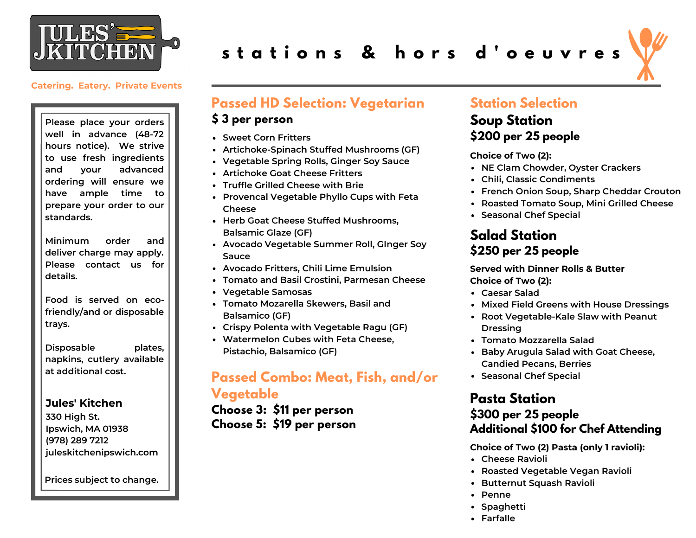

**Please place your orders well in advance (48-72 hours notice). We strive to use fresh ingredients and your advanced ordering will ensure we have ample time to prepare your order to our standards.**

**Minimum order and deliver charge may apply. Please contact us for details.**

**Food is served on ecofriendly/and or disposable trays.**

**Disposable plates, napkins, cutlery available at additional cost.**

#### **Jules' Kitchen**

**330 High St. Ipswich, MA 01938 (978) 289 7212 juleskitchenipswich.com**

**Prices subject to change.**

# **s t a t i o n s & h o r s d ' o e u v r e s**



## **Passed HD Selection: Vegetarian**

#### **\$ 3 per person**

- **Sweet Corn Fritters**
- **Artichoke-Spinach Stuffed Mushrooms (GF)**
- **Vegetable Spring Rolls, Ginger Soy Sauce**
- **Artichoke Goat Cheese Fritters**
- **Truffle Grilled Cheese with Brie**
- **Provencal Vegetable Phyllo Cups with Feta Cheese**
- **Herb Goat Cheese Stuffed Mushrooms, Balsamic Glaze (GF)**
- **Avocado Vegetable Summer Roll, GInger Soy Sauce**
- **Avocado Fritters, Chili Lime Emulsion**
- **Tomato and Basil Crostini, Parmesan Cheese**
- **Vegetable Samosas**
- **Tomato Mozarella Skewers, Basil and Balsamico (GF)**
- **Crispy Polenta with Vegetable Ragu (GF)**
- **Watermelon Cubes with Feta Cheese, Pistachio, Balsamico (GF)**

# **Passed Combo: Meat, Fish, and/or Vegetable**

**Choose 3: \$11 per person Choose 5: \$19 per person**

## **Station Selection**

# **Soup Station \$200 per 25 people**

**Choice of Two (2):**

- **NE Clam Chowder, Oyster Crackers**
- **Chili, Classic Condiments**
- **French Onion Soup, Sharp Cheddar Crouton**
- **Roasted Tomato Soup, Mini Grilled Cheese**
- **Seasonal Chef Special**

## **Salad Station \$250 per 25 people**

**Served with Dinner Rolls & Butter Choice of Two (2):**

- **Caesar Salad**
- **Mixed Field Greens with House Dressings**
- **Root Vegetable-Kale Slaw with Peanut Dressing**
- **Tomato Mozzarella Salad**
- **Baby Arugula Salad with Goat Cheese, Candied Pecans, Berries**
- **Seasonal Chef Special**

# **Pasta Station**

# **\$300 per 25 people Additional \$100 for Chef Attending**

**Choice of Two (2) Pasta (only 1 ravioli):**

- **Cheese Ravioli**
- **Roasted Vegetable Vegan Ravioli**
- **Butternut Squash Ravioli**
- **Penne**
- **Spaghetti**
- **Farfalle**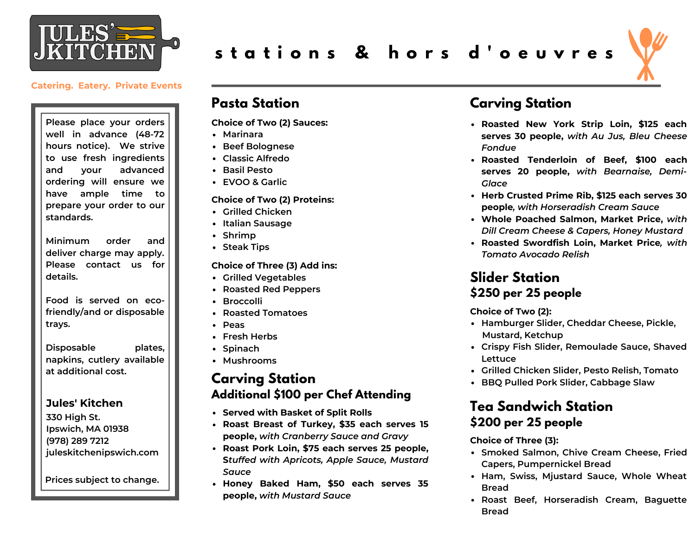

**Please place your orders well in advance (48-72 hours notice). We strive to use fresh ingredients and your advanced ordering will ensure we have ample time to prepare your order to our standards.**

**Minimum order and deliver charge may apply. Please contact us for details.**

**Food is served on ecofriendly/and or disposable trays.**

**Disposable plates, napkins, cutlery available at additional cost.**

#### **Jules' Kitchen**

**330 High St. Ipswich, MA 01938 (978) 289 7212 juleskitchenipswich.com**

**Prices subject to change.**

# **s t a t i o n s & h o r s d ' o e u v r e s**

## **Pasta Station**

**Choice of Two (2) Sauces:**

- **Marinara**
- **Beef Bolognese**
- **Classic Alfredo**
- **Basil Pesto**
- **EVOO & Garlic**

#### **Choice of Two (2) Proteins:**

- **Grilled Chicken**
- **Italian Sausage**
- **Shrimp**
- **Steak Tips**

#### **Choice of Three (3) Add ins:**

- **Grilled Vegetables**
- **Roasted Red Peppers**
- **Broccolli**
- **Roasted Tomatoes**
- **Peas**
- **Fresh Herbs**
- Spinach
- **Mushrooms**

## **Carving Station Additional \$100 per Chef Attending**

- **Served with Basket of Split Rolls**
- **Roast Breast of Turkey, \$35 each serves 15 people,** *with Cranberry Sauce and Gravy*
- **Roast Pork Loin, \$75 each serves 25 people, S***tuffed with Apricots, Apple Sauce, Mustard Sauce*
- **Honey Baked Ham, \$50 each serves 35 people,** *with Mustard Sauce*

# **Carving Station**

- **Roasted New York Strip Loin, \$125 each serves 30 people,** *with Au Jus, Bleu Cheese Fondue*
- **Roasted Tenderloin of Beef, \$100 each serves 20 people,** *with Bearnaise, Demi-Glace*
- **Herb Crusted Prime Rib, \$125 each serves 30 people***, with Horseradish Cream Sauce*
- **Whole Poached Salmon, Market Price,** *with Dill Cream Cheese & Capers, Honey Mustard*
- **Roasted Swordfish Loin, Market Price***, with Tomato Avocado Relish*

## **Slider Station \$250 per 25 people**

**Choice of Two (2):**

- **Hamburger Slider, Cheddar Cheese, Pickle, Mustard, Ketchup**
- **Crispy Fish Slider, Remoulade Sauce, Shaved Lettuce**
- **Grilled Chicken Slider, Pesto Relish, Tomato**
- **BBQ Pulled Pork Slider, Cabbage Slaw**

## **Tea Sandwich Station \$200 per 25 people**

**Choice of Three (3):**

- **Smoked Salmon, Chive Cream Cheese, Fried Capers, Pumpernickel Bread**
- **Ham, Swiss, Mjustard Sauce, Whole Wheat Bread**
- **Roast Beef, Horseradish Cream, Baguette Bread**

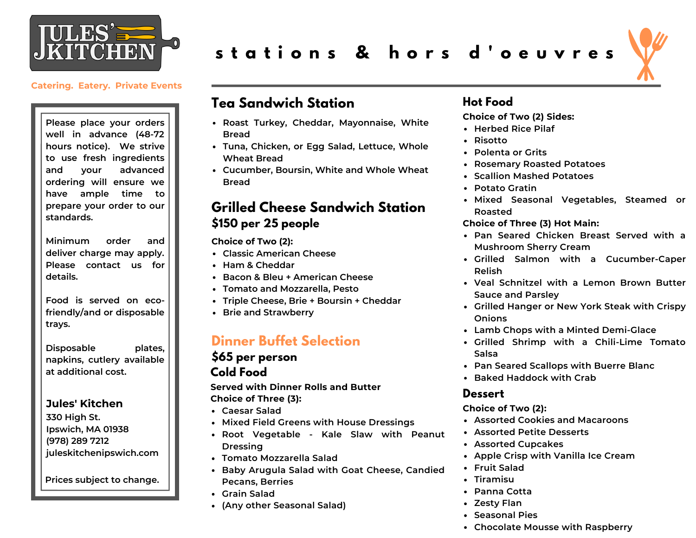

**Please place your orders well in advance (48-72 hours notice). We strive to use fresh ingredients and your advanced ordering will ensure we have ample time to prepare your order to our standards.**

**Minimum order and deliver charge may apply. Please contact us for details.**

**Food is served on ecofriendly/and or disposable trays.**

**Disposable plates, napkins, cutlery available at additional cost.**

#### **Jules' Kitchen**

**330 High St. Ipswich, MA 01938 (978) 289 7212 juleskitchenipswich.com**

**Prices subject to change.**

# **s t a t i o n s & h o r s d ' o e u v r e s**



## **Tea Sandwich Station**

- **Roast Turkey, Cheddar, Mayonnaise, White Bread**
- **Tuna, Chicken, or Egg Salad, Lettuce, Whole Wheat Bread**
- **Cucumber, Boursin, White and Whole Wheat Bread**

## **Grilled Cheese Sandwich Station \$150 per 25 people**

**Choice of Two (2):**

- **Classic American Cheese**
- **Ham & Cheddar**
- **Bacon & Bleu + American Cheese**
- **Tomato and Mozzarella, Pesto**
- **Triple Cheese, Brie + Boursin + Cheddar**
- **Brie and Strawberry**

## **Dinner Buffet Selection**

# **\$65 per person**

### **Cold Food**

**Served with Dinner Rolls and Butter Choice of Three (3):**

- **Caesar Salad**
- **Mixed Field Greens with House Dressings**
- **Root Vegetable - Kale Slaw with Peanut Dressing**
- **Tomato Mozzarella Salad**
- **Baby Arugula Salad with Goat Cheese, Candied Pecans, Berries**
- **Grain Salad**
- **(Any other Seasonal Salad)**

## **Hot Food**

**Choice of Two (2) Sides:**

- **Herbed Rice Pilaf**
- **Risotto**
- **Polenta or Grits**
- **Rosemary Roasted Potatoes**
- **Scallion Mashed Potatoes**
- **Potato Gratin**
- **Mixed Seasonal Vegetables, Steamed or Roasted**

**Choice of Three (3) Hot Main:**

- **Pan Seared Chicken Breast Served with a Mushroom Sherry Cream**
- **Grilled Salmon with a Cucumber-Caper Relish**
- **Veal Schnitzel with a Lemon Brown Butter Sauce and Parsley**
- **Grilled Hanger or New York Steak with Crispy Onions**
- **Lamb Chops with a Minted Demi-Glace**
- **Grilled Shrimp with a Chili-Lime Tomato Salsa**
- **Pan Seared Scallops with Buerre Blanc**
- **Baked Haddock with Crab**

#### **Dessert**

#### **Choice of Two (2):**

- **Assorted Cookies and Macaroons**
- **Assorted Petite Desserts**
- **Assorted Cupcakes**
- **Apple Crisp with Vanilla Ice Cream**
- **Fruit Salad**
- **Tiramisu**
- **Panna Cotta**
- **Zesty Flan**
- **Seasonal Pies**
- **Chocolate Mousse with Raspberry**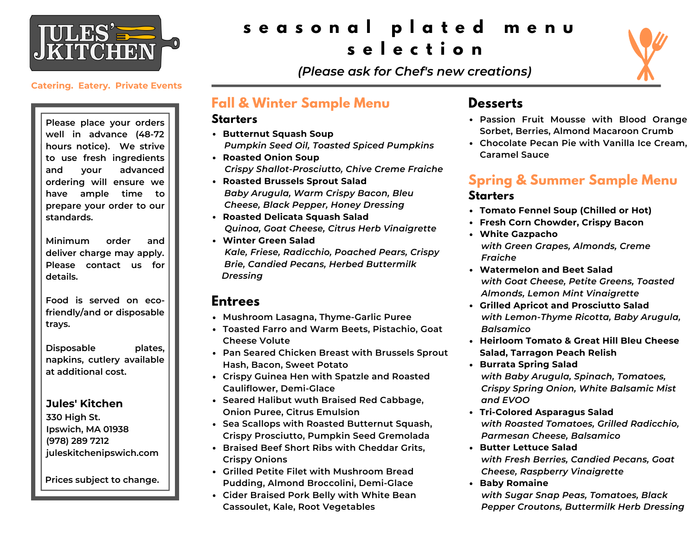

**Please place your orders well in advance (48-72 hours notice). We strive to use fresh ingredients and your advanced ordering will ensure we have ample time to prepare your order to our standards.**

**Minimum order and deliver charge may apply. Please contact us for details.**

**Food is served on ecofriendly/and or disposable trays.**

**Disposable plates, napkins, cutlery available at additional cost.**

#### **Jules' Kitchen**

**330 High St. Ipswich, MA 01938 (978) 289 7212 juleskitchenipswich.com**

**Prices subject to change.**

# **s e a s o n a l p l a t e d m e n u s e l e c t i o n**



*(Please ask for Chef's new creations)*

# **Fall & Winter Sample Menu**

#### **Starters**

- **Butternut Squash Soup** *Pumpkin Seed Oil, Toasted Spiced Pumpkins*
- **Roasted Onion Soup** *Crispy Shallot-Prosciutto, Chive Creme Fraiche*
- **Roasted Brussels Sprout Salad** *Baby Arugula, Warm Crispy Bacon, Bleu Cheese, Black Pepper, Honey Dressing*
- **Roasted Delicata Squash Salad** *Quinoa, Goat Cheese, Citrus Herb Vinaigrette*
- **Winter Green Salad** *Kale, Friese, Radicchio, Poached Pears, Crispy Brie, Candied Pecans, Herbed Buttermilk Dressing*

## **Entrees**

- **Mushroom Lasagna, Thyme-Garlic Puree**
- **Toasted Farro and Warm Beets, Pistachio, Goat Cheese Volute**
- **Pan Seared Chicken Breast with Brussels Sprout Hash, Bacon, Sweet Potato**
- **Crispy Guinea Hen with Spatzle and Roasted Cauliflower, Demi-Glace**
- **Seared Halibut wuth Braised Red Cabbage, Onion Puree, Citrus Emulsion**
- **Sea Scallops with Roasted Butternut Squash, Crispy Prosciutto, Pumpkin Seed Gremolada**
- **Braised Beef Short Ribs with Cheddar Grits, Crispy Onions**
- **Grilled Petite Filet with Mushroom Bread Pudding, Almond Broccolini, Demi-Glace**
- **Cider Braised Pork Belly with White Bean Cassoulet, Kale, Root Vegetables**

# **Desserts**

- **Passion Fruit Mousse with Blood Orange Sorbet, Berries, Almond Macaroon Crumb**
- **Chocolate Pecan Pie with Vanilla Ice Cream, Caramel Sauce**

# **Spring & Summer Sample Menu**

### **Starters**

- **Tomato Fennel Soup (Chilled or Hot)**
- **Fresh Corn Chowder, Crispy Bacon**
- **White Gazpacho** *with Green Grapes, Almonds, Creme Fraiche*
- **Watermelon and Beet Salad** *with Goat Cheese, Petite Greens, Toasted Almonds, Lemon Mint Vinaigrette*
- **Grilled Apricot and Prosciutto Salad** *with Lemon-Thyme Ricotta, Baby Arugula, Balsamico*
- **Heirloom Tomato & Great Hill Bleu Cheese Salad, Tarragon Peach Relish**
- **Burrata Spring Salad** *with Baby Arugula, Spinach, Tomatoes, Crispy Spring Onion, White Balsamic Mist and EVOO*
- **Tri-Colored Asparagus Salad** *with Roasted Tomatoes, Grilled Radicchio, Parmesan Cheese, Balsamico*
- **Butter Lettuce Salad** *with Fresh Berries, Candied Pecans, Goat Cheese, Raspberry Vinaigrette*
- **Baby Romaine** *with Sugar Snap Peas, Tomatoes, Black Pepper Croutons, Buttermilk Herb Dressing*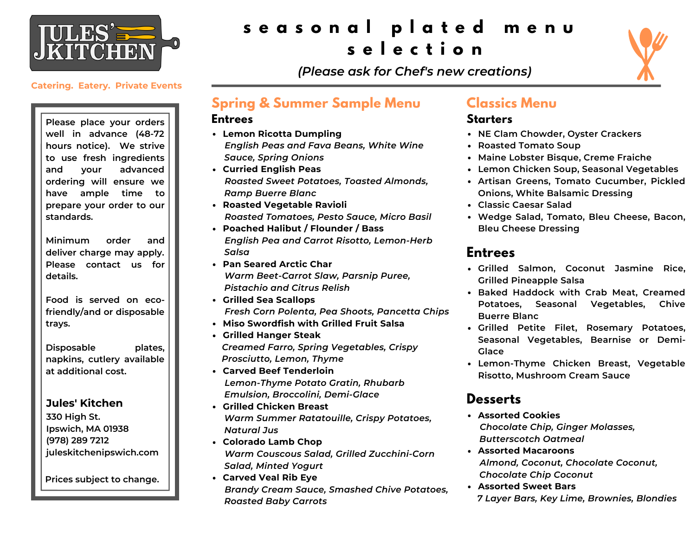

# **s e a s o n a l p l a t e d m e n u s e l e c t i o n**



*(Please ask for Chef's new creations)*

#### **Catering. Eatery. Private Events**

**Please place your orders well in advance (48-72 hours notice). We strive to use fresh ingredients and your advanced ordering will ensure we have ample time to prepare your order to our standards.**

**Minimum order and deliver charge may apply. Please contact us for details.**

**Food is served on ecofriendly/and or disposable trays.**

**Disposable plates, napkins, cutlery available at additional cost.**

#### **Jules' Kitchen**

**330 High St. Ipswich, MA 01938 (978) 289 7212 juleskitchenipswich.com**

**Prices subject to change.**

## **Spring & Summer Sample Menu**

#### **Entrees**

- **Lemon Ricotta Dumpling** *English Peas and Fava Beans, White Wine Sauce, Spring Onions*
- **Curried English Peas** *Roasted Sweet Potatoes, Toasted Almonds, Ramp Buerre Blanc*
- **Roasted Vegetable Ravioli** *Roasted Tomatoes, Pesto Sauce, Micro Basil*
- **Poached Halibut / Flounder / Bass** *English Pea and Carrot Risotto, Lemon-Herb Salsa*
- **Pan Seared Arctic Char** *Warm Beet-Carrot Slaw, Parsnip Puree, Pistachio and Citrus Relish*
- **Grilled Sea Scallops** *Fresh Corn Polenta, Pea Shoots, Pancetta Chips*
- **Miso Swordfish with Grilled Fruit Salsa**
- **Grilled Hanger Steak** *Creamed Farro, Spring Vegetables, Crispy Prosciutto, Lemon, Thyme*
- **Carved Beef Tenderloin** *Lemon-Thyme Potato Gratin, Rhubarb Emulsion, Broccolini, Demi-Glace*
- **Grilled Chicken Breast** *Warm Summer Ratatouille, Crispy Potatoes, Natural Jus*
- **Colorado Lamb Chop** *Warm Couscous Salad, Grilled Zucchini-Corn Salad, Minted Yogurt*
- **Carved Veal Rib Eye** *Brandy Cream Sauce, Smashed Chive Potatoes, Roasted Baby Carrots*

## **Classics Menu**

### **Starters**

- **NE Clam Chowder, Oyster Crackers**
- **Roasted Tomato Soup**
- **Maine Lobster Bisque, Creme Fraiche**
- **Lemon Chicken Soup, Seasonal Vegetables**
- **Artisan Greens, Tomato Cucumber, Pickled Onions, White Balsamic Dressing**
- **Classic Caesar Salad**
- **Wedge Salad, Tomato, Bleu Cheese, Bacon, Bleu Cheese Dressing**

## **Entrees**

- **Grilled Salmon, Coconut Jasmine Rice, Grilled Pineapple Salsa**
- **Baked Haddock with Crab Meat, Creamed Potatoes, Seasonal Vegetables, Chive Buerre Blanc**
- **Grilled Petite Filet, Rosemary Potatoes, Seasonal Vegetables, Bearnise or Demi-Glace**
- **Lemon-Thyme Chicken Breast, Vegetable Risotto, Mushroom Cream Sauce**

## **Desserts**

- **Assorted Cookies** *Chocolate Chip, Ginger Molasses, Butterscotch Oatmeal*
- **Assorted Macaroons** *Almond, Coconut, Chocolate Coconut, Chocolate Chip Coconut*
- **Assorted Sweet Bars** *7 Layer Bars, Key Lime, Brownies, Blondies*